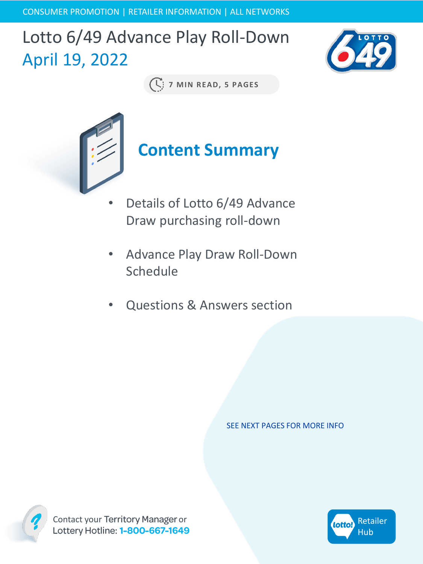CONSUMER PROMOTION | RETAILER INFORMATION | ALL NETWORKS

## Lotto 6/49 Advance Play Roll-Down April 19, 2022



**7 MIN READ, 5 PAGES**



- Details of Lotto 6/49 Advance Draw purchasing roll-down
- Advance Play Draw Roll-Down Schedule
- Questions & Answers section

SEE NEXT PAGES FOR MORE INFO



Contact your Territory Manager or<br>Lottery Hotline: 1-800-667-1649

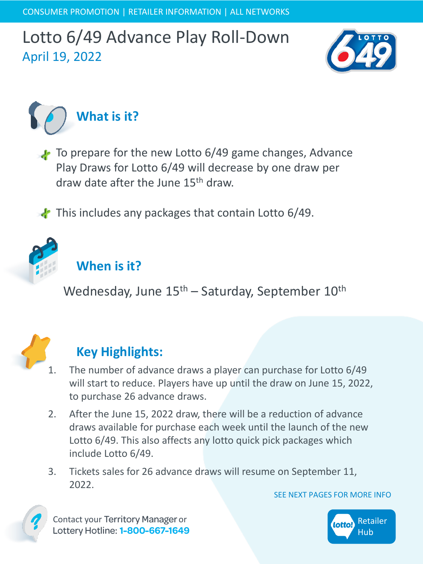



To prepare for the new Lotto 6/49 game changes, Advance Play Draws for Lotto 6/49 will decrease by one draw per draw date after the June 15th draw.

 $\cdot$  This includes any packages that contain Lotto 6/49.



### **When is it?**

Wednesday, June  $15<sup>th</sup>$  – Saturday, September  $10<sup>th</sup>$ 



### **Key Highlights:**

- 1. The number of advance draws a player can purchase for Lotto 6/49 will start to reduce. Players have up until the draw on June 15, 2022, to purchase 26 advance draws.
- 2. After the June 15, 2022 draw, there will be a reduction of advance draws available for purchase each week until the launch of the new Lotto 6/49. This also affects any lotto quick pick packages which include Lotto 6/49.
- 3. Tickets sales for 26 advance draws will resume on September 11, 2022.

SEE NEXT PAGES FOR MORE INFO



Contact your Territory Manager or Lottery Hotline: 1-800-667-1649

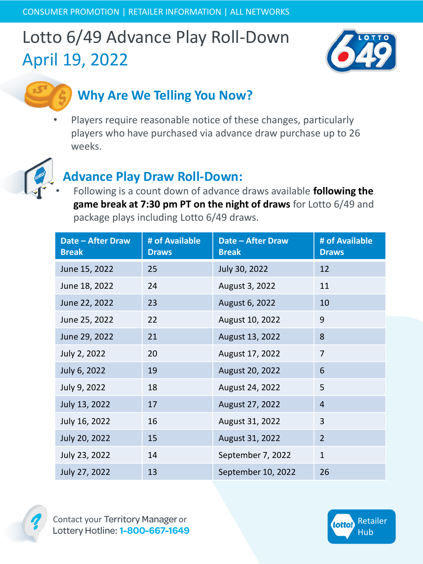

## **Why Are We Telling You Now?**

Players require reasonable notice of these changes, particularly players who have purchased via advance draw purchase up to 26 weeks.



### **Advance Play Draw Roll-Down:**

• Following is a count down of advance draws available **following the game break at 7:30 pm PT on the night of draws** for Lotto 6/49 and package plays including Lotto 6/49 draws.

| <b>Date - After Draw</b><br><b>Break</b> | # of Available<br><b>Draws</b> | Date - After Draw<br><b>Break</b> | # of Available<br><b>Draws</b> |
|------------------------------------------|--------------------------------|-----------------------------------|--------------------------------|
| June 15, 2022                            | 25                             | July 30, 2022                     | 12                             |
| June 18, 2022                            | 24                             | August 3, 2022                    | 11                             |
| June 22, 2022                            | 23                             | August 6, 2022                    | 10                             |
| June 25, 2022                            | 22                             | August 10, 2022                   | 9                              |
| June 29, 2022                            | 21                             | August 13, 2022                   | 8                              |
| July 2, 2022                             | 20                             | August 17, 2022                   | 7                              |
| July 6, 2022                             | 19                             | August 20, 2022                   | 6                              |
| July 9, 2022                             | 18                             | August 24, 2022                   | 5                              |
| July 13, 2022                            | 17                             | August 27, 2022                   | $\overline{4}$                 |
| July 16, 2022                            | 16                             | August 31, 2022                   | 3                              |
| July 20, 2022                            | 15                             | August 31, 2022                   | $\overline{2}$                 |
| July 23, 2022                            | 14                             | September 7, 2022                 | $\mathbf{1}$                   |
| July 27, 2022                            | 13                             | September 10, 2022                | 26                             |



Contact your Territory Manager or<br>Lottery Hotline: 1-800-667-1649

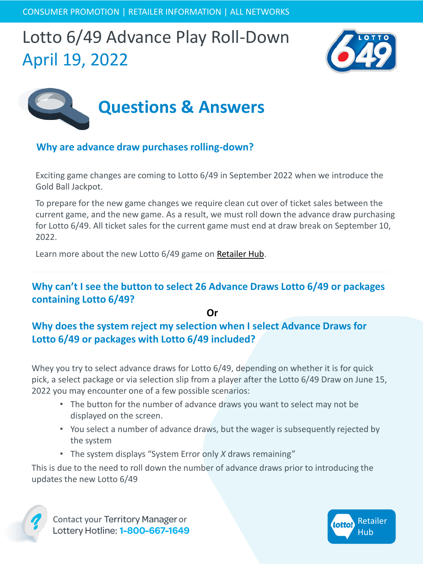



#### **Why are advance draw purchases rolling-down?**

Exciting game changes are coming to Lotto 6/49 in September 2022 when we introduce the Gold Ball Jackpot.

To prepare for the new game changes we require clean cut over of ticket sales between the current game, and the new game. As a result, we must roll down the advance draw purchasing for Lotto 6/49. All ticket sales for the current game must end at draw break on September 10, 2022.

Learn more about the new Lotto 6/49 game on [Retailer Hub](https://www.bclcretailerhub.com/content/dam/retailerhub/retailer-information/lotto-brands/Lotto_649_Game_Enhancement_Retailer_Announcement.pdf).

#### **Why can't I see the button to select 26 Advance Draws Lotto 6/49 or packages containing Lotto 6/49?**

**Or Why does the system reject my selection when I select Advance Draws for Lotto 6/49 or packages with Lotto 6/49 included?**

Whey you try to select advance draws for Lotto 6/49, depending on whether it is for quick pick, a select package or via selection slip from a player after the Lotto 6/49 Draw on June 15, 2022 you may encounter one of a few possible scenarios:

- The button for the number of advance draws you want to select may not be displayed on the screen.
- You select a number of advance draws, but the wager is subsequently rejected by the system
- The system displays "System Error only *X* draws remaining"

This is due to the need to roll down the number of advance draws prior to introducing the updates the new Lotto 6/49



Contact your Territory Manager or<br>Lottery Hotline: 1-800-667-1649